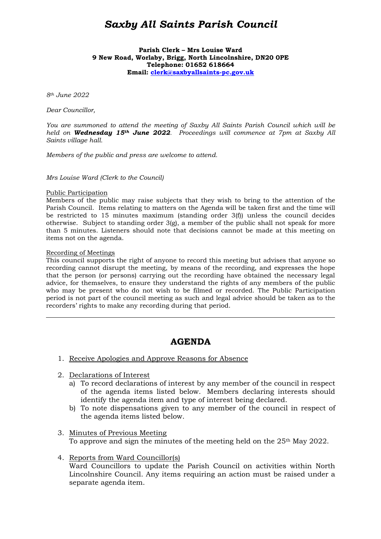# *Saxby All Saints Parish Council*

#### **Parish Clerk – Mrs Louise Ward 9 New Road, Worlaby, Brigg, North Lincolnshire, DN20 0PE Telephone: 01652 618664 Email: clerk@saxbyallsaints-pc.gov.uk**

*8th June 2022* 

*Dear Councillor,* 

*You are summoned to attend the meeting of Saxby All Saints Parish Council which will be held on Wednesday 15th June 2022. Proceedings will commence at 7pm at Saxby All Saints village hall.* 

*Members of the public and press are welcome to attend.* 

*Mrs Louise Ward (Clerk to the Council)* 

#### Public Participation

Members of the public may raise subjects that they wish to bring to the attention of the Parish Council. Items relating to matters on the Agenda will be taken first and the time will be restricted to 15 minutes maximum (standing order 3(f)) unless the council decides otherwise. Subject to standing order 3(g), a member of the public shall not speak for more than 5 minutes. Listeners should note that decisions cannot be made at this meeting on items not on the agenda.

#### Recording of Meetings

 $\overline{a}$ 

This council supports the right of anyone to record this meeting but advises that anyone so recording cannot disrupt the meeting, by means of the recording, and expresses the hope that the person (or persons) carrying out the recording have obtained the necessary legal advice, for themselves, to ensure they understand the rights of any members of the public who may be present who do not wish to be filmed or recorded. The Public Participation period is not part of the council meeting as such and legal advice should be taken as to the recorders' rights to make any recording during that period.

## **AGENDA**

- 1. Receive Apologies and Approve Reasons for Absence
- 2. Declarations of Interest
	- a) To record declarations of interest by any member of the council in respect of the agenda items listed below. Members declaring interests should identify the agenda item and type of interest being declared.
	- b) To note dispensations given to any member of the council in respect of the agenda items listed below.
- 3. Minutes of Previous Meeting To approve and sign the minutes of the meeting held on the 25th May 2022.
- 4. Reports from Ward Councillor(s) Ward Councillors to update the Parish Council on activities within North Lincolnshire Council. Any items requiring an action must be raised under a separate agenda item.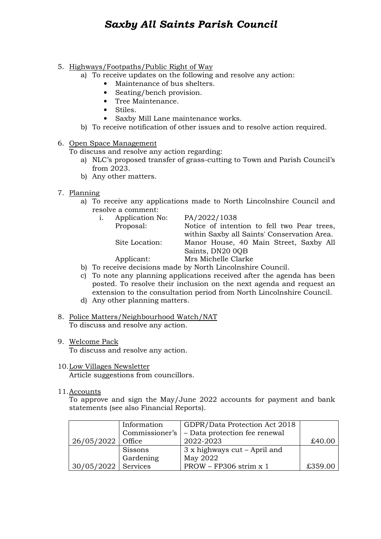# *Saxby All Saints Parish Council*

## 5. Highways/Footpaths/Public Right of Way

- a) To receive updates on the following and resolve any action:
	- Maintenance of bus shelters.
	- Seating/bench provision.
	- Tree Maintenance.
	- Stiles.
	- Saxby Mill Lane maintenance works.
- b) To receive notification of other issues and to resolve action required.

### 6. Open Space Management

To discuss and resolve any action regarding:

- a) NLC's proposed transfer of grass-cutting to Town and Parish Council's from 2023.
- b) Any other matters.
- 7. Planning
	- a) To receive any applications made to North Lincolnshire Council and resolve a comment:

| i. | Application No: | PA/2022/1038    |  |  |
|----|-----------------|-----------------|--|--|
|    | Proposal:       | Notice of inten |  |  |
|    |                 | within Saxby al |  |  |

Notice of intention to fell two Pear trees, within Saxby all Saints' Conservation Area. Site Location: Manor House, 40 Main Street, Saxby All Saints, DN20 0QB

Applicant: Mrs Michelle Clarke

- b) To receive decisions made by North Lincolnshire Council.
- c) To note any planning applications received after the agenda has been posted. To resolve their inclusion on the next agenda and request an extension to the consultation period from North Lincolnshire Council.
- d) Any other planning matters.
- 8. Police Matters/Neighbourhood Watch/NAT To discuss and resolve any action.
- 9. Welcome Pack To discuss and resolve any action.
- 10.Low Villages Newsletter Article suggestions from councillors.
- 11.Accounts

To approve and sign the May/June 2022 accounts for payment and bank statements (see also Financial Reports).

|                       | Information    | GDPR/Data Protection Act 2018 |         |
|-----------------------|----------------|-------------------------------|---------|
|                       | Commissioner's | - Data protection fee renewal |         |
| $26/05/2022$ Office   |                | 2022-2023                     | £40.00  |
|                       | Sissons        | $3x$ highways cut – April and |         |
|                       | Gardening      | May 2022                      |         |
| $30/05/2022$ Services |                | $PROW - FP306$ strim x 1      | £359.00 |